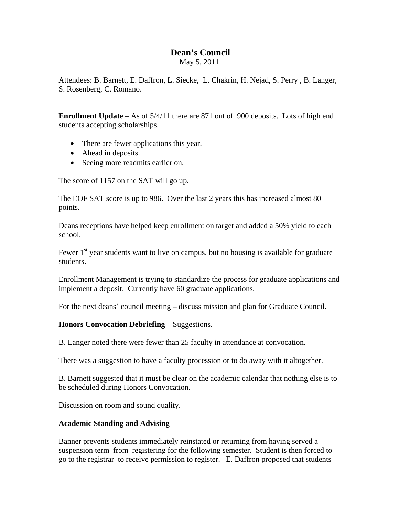## **Dean's Council**

May 5, 2011

Attendees: B. Barnett, E. Daffron, L. Siecke, L. Chakrin, H. Nejad, S. Perry , B. Langer, S. Rosenberg, C. Romano.

**Enrollment Update** – As of 5/4/11 there are 871 out of 900 deposits. Lots of high end students accepting scholarships.

- There are fewer applications this year.
- Ahead in deposits.
- Seeing more readmits earlier on.

The score of 1157 on the SAT will go up.

The EOF SAT score is up to 986. Over the last 2 years this has increased almost 80 points.

Deans receptions have helped keep enrollment on target and added a 50% yield to each school.

Fewer  $1<sup>st</sup>$  year students want to live on campus, but no housing is available for graduate students.

Enrollment Management is trying to standardize the process for graduate applications and implement a deposit. Currently have 60 graduate applications.

For the next deans' council meeting – discuss mission and plan for Graduate Council.

## **Honors Convocation Debriefing** – Suggestions.

B. Langer noted there were fewer than 25 faculty in attendance at convocation.

There was a suggestion to have a faculty procession or to do away with it altogether.

B. Barnett suggested that it must be clear on the academic calendar that nothing else is to be scheduled during Honors Convocation.

Discussion on room and sound quality.

## **Academic Standing and Advising**

Banner prevents students immediately reinstated or returning from having served a suspension term from registering for the following semester. Student is then forced to go to the registrar to receive permission to register. E. Daffron proposed that students